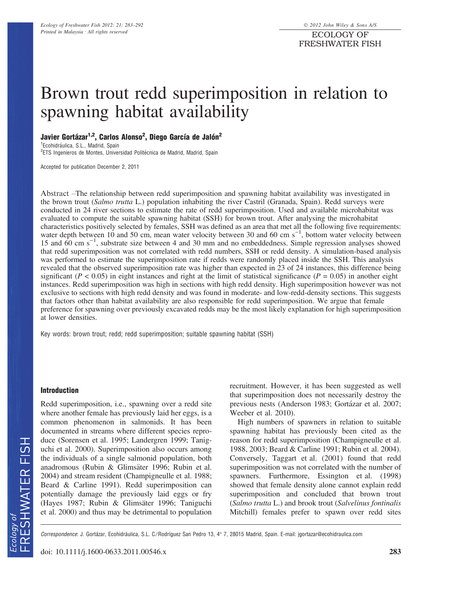# Brown trout redd superimposition in relation to spawning habitat availability

# Javier Gortázar<sup>1,2</sup>, Carlos Alonso<sup>2</sup>, Diego García de Jalón<sup>2</sup>

<sup>1</sup> Ecohidráulica, S.L., Madrid, Spain <sup>2</sup>ETS Ingenieros de Montes, Universidad Politécnica de Madrid, Madrid, Spain

Accepted for publication December 2, 2011

Abstract –The relationship between redd superimposition and spawning habitat availability was investigated in the brown trout (Salmo trutta L.) population inhabiting the river Castril (Granada, Spain). Redd surveys were conducted in 24 river sections to estimate the rate of redd superimposition. Used and available microhabitat was evaluated to compute the suitable spawning habitat (SSH) for brown trout. After analysing the microhabitat characteristics positively selected by females, SSH was defined as an area that met all the following five requirements: water depth between 10 and 50 cm, mean water velocity between 30 and 60 cm  $s^{-1}$ , bottom water velocity between 15 and  $60 \text{ cm s}^{-1}$ , substrate size between 4 and 30 mm and no embeddedness. Simple regression analyses showed that redd superimposition was not correlated with redd numbers, SSH or redd density. A simulation-based analysis was performed to estimate the superimposition rate if redds were randomly placed inside the SSH. This analysis revealed that the observed superimposition rate was higher than expected in 23 of 24 instances, this difference being significant ( $P < 0.05$ ) in eight instances and right at the limit of statistical significance ( $P = 0.05$ ) in another eight instances. Redd superimposition was high in sections with high redd density. High superimposition however was not exclusive to sections with high redd density and was found in moderate- and low-redd-density sections. This suggests that factors other than habitat availability are also responsible for redd superimposition. We argue that female preference for spawning over previously excavated redds may be the most likely explanation for high superimposition at lower densities.

Key words: brown trout; redd; redd superimposition; suitable spawning habitat (SSH)

#### Introduction

Redd superimposition, i.e., spawning over a redd site where another female has previously laid her eggs, is a common phenomenon in salmonids. It has been documented in streams where different species reproduce (Sorensen et al. 1995; Landergren 1999; Taniguchi et al. 2000). Superimposition also occurs among the individuals of a single salmonid population, both anadromous (Rubin & Glimsäter 1996; Rubin et al. 2004) and stream resident (Champigneulle et al. 1988; Beard & Carline 1991). Redd superimposition can potentially damage the previously laid eggs or fry (Hayes 1987; Rubin & Glimsäter 1996; Taniguchi et al. 2000) and thus may be detrimental to population recruitment. However, it has been suggested as well that superimposition does not necessarily destroy the previous nests (Anderson 1983; Gortázar et al. 2007; Weeber et al. 2010).

High numbers of spawners in relation to suitable spawning habitat has previously been cited as the reason for redd superimposition (Champigneulle et al. 1988, 2003; Beard & Carline 1991; Rubin et al. 2004). Conversely, Taggart et al. (2001) found that redd superimposition was not correlated with the number of spawners. Furthermore, Essington et al. (1998) showed that female density alone cannot explain redd superimposition and concluded that brown trout (Salmo trutta L.) and brook trout (Salvelinus fontinalis Mitchill) females prefer to spawn over redd sites

Correspondence: J. Gortázar, Ecohidráulica, S.L. C/Rodríguez San Pedro 13, 4° 7, 28015 Madrid, Spain. E-mail: jgortazar@ecohidraulica.com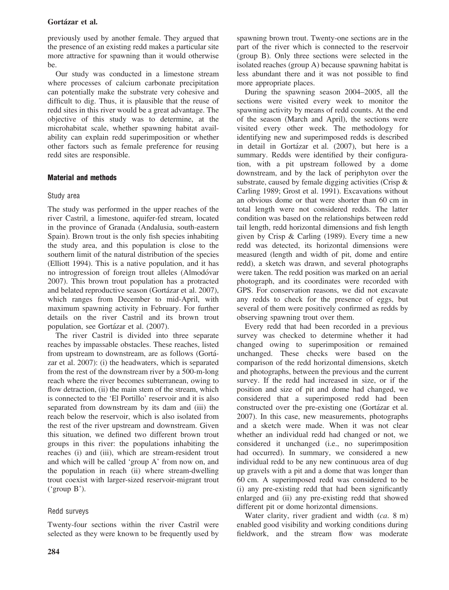previously used by another female. They argued that the presence of an existing redd makes a particular site more attractive for spawning than it would otherwise be.

Our study was conducted in a limestone stream where processes of calcium carbonate precipitation can potentially make the substrate very cohesive and difficult to dig. Thus, it is plausible that the reuse of redd sites in this river would be a great advantage. The objective of this study was to determine, at the microhabitat scale, whether spawning habitat availability can explain redd superimposition or whether other factors such as female preference for reusing redd sites are responsible.

# Material and methods

# Study area

The study was performed in the upper reaches of the river Castril, a limestone, aquifer-fed stream, located in the province of Granada (Andalusia, south-eastern Spain). Brown trout is the only fish species inhabiting the study area, and this population is close to the southern limit of the natural distribution of the species (Elliott 1994). This is a native population, and it has no introgression of foreign trout alleles (Almodóvar 2007). This brown trout population has a protracted and belated reproductive season (Gortázar et al. 2007), which ranges from December to mid-April, with maximum spawning activity in February. For further details on the river Castril and its brown trout population, see Gortázar et al. (2007).

The river Castril is divided into three separate reaches by impassable obstacles. These reaches, listed from upstream to downstream, are as follows (Gorta´ zar et al. 2007): (i) the headwaters, which is separated from the rest of the downstream river by a 500-m-long reach where the river becomes subterranean, owing to flow detraction, (ii) the main stem of the stream, which is connected to the 'El Portillo' reservoir and it is also separated from downstream by its dam and (iii) the reach below the reservoir, which is also isolated from the rest of the river upstream and downstream. Given this situation, we defined two different brown trout groups in this river: the populations inhabiting the reaches (i) and (iii), which are stream-resident trout and which will be called 'group A' from now on, and the population in reach (ii) where stream-dwelling trout coexist with larger-sized reservoir-migrant trout ('group B').

# Redd surveys

Twenty-four sections within the river Castril were selected as they were known to be frequently used by spawning brown trout. Twenty-one sections are in the part of the river which is connected to the reservoir (group B). Only three sections were selected in the isolated reaches (group A) because spawning habitat is less abundant there and it was not possible to find more appropriate places.

During the spawning season 2004–2005, all the sections were visited every week to monitor the spawning activity by means of redd counts. At the end of the season (March and April), the sections were visited every other week. The methodology for identifying new and superimposed redds is described in detail in Gortázar et al. (2007), but here is a summary. Redds were identified by their configuration, with a pit upstream followed by a dome downstream, and by the lack of periphyton over the substrate, caused by female digging activities (Crisp & Carling 1989; Grost et al. 1991). Excavations without an obvious dome or that were shorter than 60 cm in total length were not considered redds. The latter condition was based on the relationships between redd tail length, redd horizontal dimensions and fish length given by Crisp & Carling (1989). Every time a new redd was detected, its horizontal dimensions were measured (length and width of pit, dome and entire redd), a sketch was drawn, and several photographs were taken. The redd position was marked on an aerial photograph, and its coordinates were recorded with GPS. For conservation reasons, we did not excavate any redds to check for the presence of eggs, but several of them were positively confirmed as redds by observing spawning trout over them.

Every redd that had been recorded in a previous survey was checked to determine whether it had changed owing to superimposition or remained unchanged. These checks were based on the comparison of the redd horizontal dimensions, sketch and photographs, between the previous and the current survey. If the redd had increased in size, or if the position and size of pit and dome had changed, we considered that a superimposed redd had been constructed over the pre-existing one (Gortázar et al. 2007). In this case, new measurements, photographs and a sketch were made. When it was not clear whether an individual redd had changed or not, we considered it unchanged (i.e., no superimposition had occurred). In summary, we considered a new individual redd to be any new continuous area of dug up gravels with a pit and a dome that was longer than 60 cm. A superimposed redd was considered to be (i) any pre-existing redd that had been significantly enlarged and (ii) any pre-existing redd that showed different pit or dome horizontal dimensions.

Water clarity, river gradient and width (ca. 8 m) enabled good visibility and working conditions during fieldwork, and the stream flow was moderate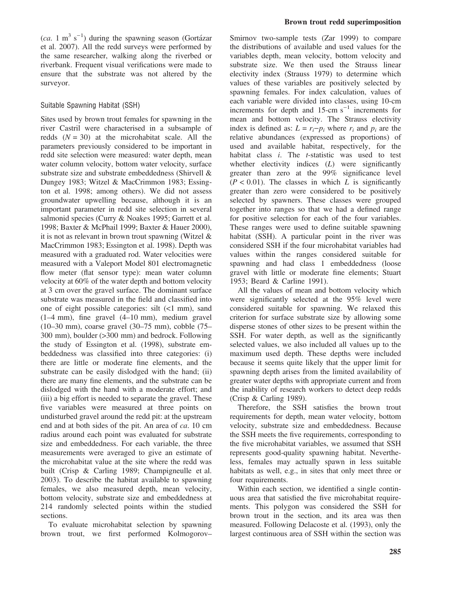$(ca. 1 m<sup>3</sup> s<sup>-1</sup>)$  during the spawning season (Gortázar et al. 2007). All the redd surveys were performed by the same researcher, walking along the riverbed or riverbank. Frequent visual verifications were made to ensure that the substrate was not altered by the surveyor.

#### Suitable Spawning Habitat (SSH)

Sites used by brown trout females for spawning in the river Castril were characterised in a subsample of redds  $(N = 30)$  at the microhabitat scale. All the parameters previously considered to be important in redd site selection were measured: water depth, mean water column velocity, bottom water velocity, surface substrate size and substrate embeddedness (Shirvell & Dungey 1983; Witzel & MacCrimmon 1983; Essington et al. 1998; among others). We did not assess groundwater upwelling because, although it is an important parameter in redd site selection in several salmonid species (Curry & Noakes 1995; Garrett et al. 1998; Baxter & McPhail 1999; Baxter & Hauer 2000), it is not as relevant in brown trout spawning (Witzel & MacCrimmon 1983; Essington et al. 1998). Depth was measured with a graduated rod. Water velocities were measured with a Valeport Model 801 electromagnetic flow meter (flat sensor type): mean water column velocity at 60% of the water depth and bottom velocity at 3 cm over the gravel surface. The dominant surface substrate was measured in the field and classified into one of eight possible categories: silt (<1 mm), sand (1–4 mm), fine gravel (4–10 mm), medium gravel (10–30 mm), coarse gravel (30–75 mm), cobble (75– 300 mm), boulder (>300 mm) and bedrock. Following the study of Essington et al. (1998), substrate embeddedness was classified into three categories: (i) there are little or moderate fine elements, and the substrate can be easily dislodged with the hand; (ii) there are many fine elements, and the substrate can be dislodged with the hand with a moderate effort; and (iii) a big effort is needed to separate the gravel. These five variables were measured at three points on undisturbed gravel around the redd pit: at the upstream end and at both sides of the pit. An area of ca. 10 cm radius around each point was evaluated for substrate size and embeddedness. For each variable, the three measurements were averaged to give an estimate of the microhabitat value at the site where the redd was built (Crisp & Carling 1989; Champigneulle et al. 2003). To describe the habitat available to spawning females, we also measured depth, mean velocity, bottom velocity, substrate size and embeddedness at 214 randomly selected points within the studied sections.

To evaluate microhabitat selection by spawning brown trout, we first performed Kolmogorov–

Smirnov two-sample tests (Zar 1999) to compare the distributions of available and used values for the variables depth, mean velocity, bottom velocity and substrate size. We then used the Strauss linear electivity index (Strauss 1979) to determine which values of these variables are positively selected by spawning females. For index calculation, values of each variable were divided into classes, using 10-cm increments for depth and  $15$ -cm s<sup>-1</sup> increments for mean and bottom velocity. The Strauss electivity index is defined as:  $L = r_i-p_i$  where  $r_i$  and  $p_i$  are the relative abundances (expressed as proportions) of used and available habitat, respectively, for the habitat class  $i$ . The  $t$ -statistic was used to test whether electivity indices  $(L)$  were significantly greater than zero at the 99% significance level  $(P < 0.01)$ . The classes in which L is significantly greater than zero were considered to be positively selected by spawners. These classes were grouped together into ranges so that we had a defined range for positive selection for each of the four variables. These ranges were used to define suitable spawning habitat (SSH). A particular point in the river was considered SSH if the four microhabitat variables had values within the ranges considered suitable for spawning and had class 1 embeddedness (loose gravel with little or moderate fine elements; Stuart 1953; Beard & Carline 1991).

All the values of mean and bottom velocity which were significantly selected at the 95% level were considered suitable for spawning. We relaxed this criterion for surface substrate size by allowing some disperse stones of other sizes to be present within the SSH. For water depth, as well as the significantly selected values, we also included all values up to the maximum used depth. These depths were included because it seems quite likely that the upper limit for spawning depth arises from the limited availability of greater water depths with appropriate current and from the inability of research workers to detect deep redds (Crisp & Carling 1989).

Therefore, the SSH satisfies the brown trout requirements for depth, mean water velocity, bottom velocity, substrate size and embeddedness. Because the SSH meets the five requirements, corresponding to the five microhabitat variables, we assumed that SSH represents good-quality spawning habitat. Nevertheless, females may actually spawn in less suitable habitats as well, e.g., in sites that only meet three or four requirements.

Within each section, we identified a single continuous area that satisfied the five microhabitat requirements. This polygon was considered the SSH for brown trout in the section, and its area was then measured. Following Delacoste et al. (1993), only the largest continuous area of SSH within the section was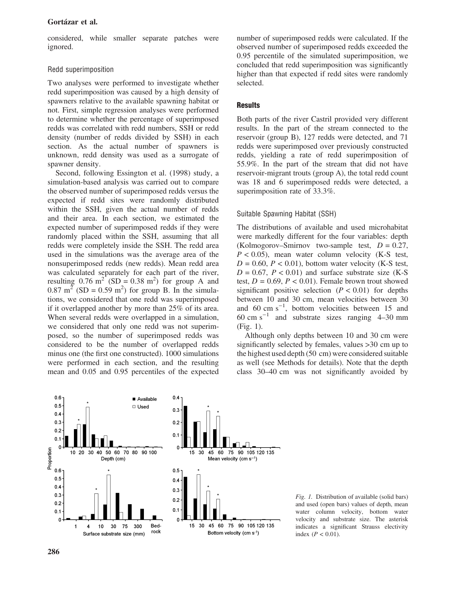considered, while smaller separate patches were ignored.

## Redd superimposition

Two analyses were performed to investigate whether redd superimposition was caused by a high density of spawners relative to the available spawning habitat or not. First, simple regression analyses were performed to determine whether the percentage of superimposed redds was correlated with redd numbers, SSH or redd density (number of redds divided by SSH) in each section. As the actual number of spawners is unknown, redd density was used as a surrogate of spawner density.

Second, following Essington et al. (1998) study, a simulation-based analysis was carried out to compare the observed number of superimposed redds versus the expected if redd sites were randomly distributed within the SSH, given the actual number of redds and their area. In each section, we estimated the expected number of superimposed redds if they were randomly placed within the SSH, assuming that all redds were completely inside the SSH. The redd area used in the simulations was the average area of the nonsuperimposed redds (new redds). Mean redd area was calculated separately for each part of the river, resulting  $0.76 \text{ m}^2$  (SD = 0.38 m<sup>2</sup>) for group A and  $0.87 \text{ m}^2$  (SD = 0.59 m<sup>2</sup>) for group B. In the simulations, we considered that one redd was superimposed if it overlapped another by more than 25% of its area. When several redds were overlapped in a simulation, we considered that only one redd was not superimposed, so the number of superimposed redds was considered to be the number of overlapped redds minus one (the first one constructed). 1000 simulations were performed in each section, and the resulting mean and 0.05 and 0.95 percentiles of the expected number of superimposed redds were calculated. If the observed number of superimposed redds exceeded the 0.95 percentile of the simulated superimposition, we concluded that redd superimposition was significantly higher than that expected if redd sites were randomly selected.

## **Results**

Both parts of the river Castril provided very different results. In the part of the stream connected to the reservoir (group B), 127 redds were detected, and 71 redds were superimposed over previously constructed redds, yielding a rate of redd superimposition of 55.9%. In the part of the stream that did not have reservoir-migrant trouts (group A), the total redd count was 18 and 6 superimposed redds were detected, a superimposition rate of 33.3%.

### Suitable Spawning Habitat (SSH)

The distributions of available and used microhabitat were markedly different for the four variables: depth (Kolmogorov–Smirnov two-sample test,  $D = 0.27$ ,  $P < 0.05$ ), mean water column velocity (K-S test,  $D = 0.60$ ,  $P < 0.01$ ), bottom water velocity (K-S test,  $D = 0.67$ ,  $P < 0.01$ ) and surface substrate size (K-S) test,  $D = 0.69$ ,  $P < 0.01$ ). Female brown trout showed significant positive selection  $(P < 0.01)$  for depths between 10 and 30 cm, mean velocities between 30 and  $60 \text{ cm s}^{-1}$ , bottom velocities between 15 and  $60 \text{ cm s}^{-1}$  and substrate sizes ranging 4–30 mm (Fig. 1).

Although only depths between 10 and 30 cm were significantly selected by females, values >30 cm up to the highest used depth (50 cm) were considered suitable as well (see Methods for details). Note that the depth class 30–40 cm was not significantly avoided by



Fig. 1. Distribution of available (solid bars) and used (open bars) values of depth, mean water column velocity, bottom water velocity and substrate size. The asterisk indicates a significant Strauss electivity index  $(P < 0.01)$ .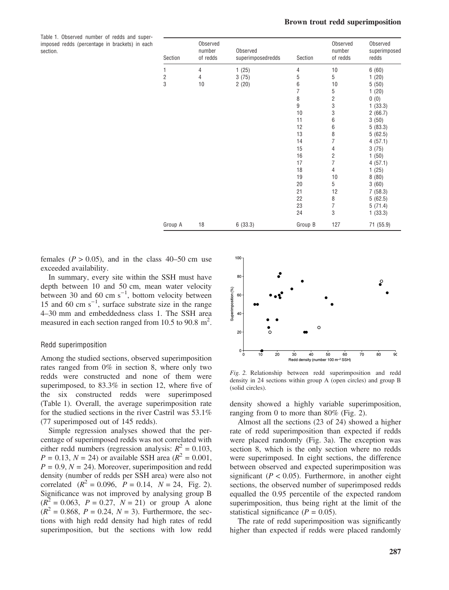#### Brown trout redd superimposition

Table 1. Observed number of redds and superimposed redds (percentage in brackets) in each section.

| Section        | Observed<br>number<br>of redds | Observed<br>superimposedredds | Section        | Observed<br>number<br>of redds | Observed<br>superimposed<br>redds |
|----------------|--------------------------------|-------------------------------|----------------|--------------------------------|-----------------------------------|
| 1              | 4                              | 1(25)                         | 4              | 10                             | 6(60)                             |
| $\overline{2}$ | 4                              | 3(75)                         | 5              | 5                              | 1(20)                             |
| 3              | 10                             | 2(20)                         | 6              | 10                             | 5(50)                             |
|                |                                |                               | $\overline{7}$ | 5                              | 1(20)                             |
|                |                                |                               | 8              | $\overline{2}$                 | 0(0)                              |
|                |                                |                               | 9              | 3                              | 1(33.3)                           |
|                |                                |                               | 10             | 3                              | 2(66.7)                           |
|                |                                |                               | 11             | 6                              | 3(50)                             |
|                |                                |                               | 12             | 6                              | 5(83.3)                           |
|                |                                |                               | 13             | 8                              | 5(62.5)                           |
|                |                                |                               | 14             | $\overline{7}$                 | 4(57.1)                           |
|                |                                |                               | 15             | 4                              | 3(75)                             |
|                |                                |                               | 16             | $\overline{2}$                 | 1(50)                             |
|                |                                |                               | 17             | $\overline{7}$                 | 4(57.1)                           |
|                |                                |                               | 18             | 4                              | 1(25)                             |
|                |                                |                               | 19             | 10                             | 8(80)                             |
|                |                                |                               | 20             | 5                              | 3(60)                             |
|                |                                |                               | 21             | 12                             | 7(58.3)                           |
|                |                                |                               | 22             | 8                              | 5(62.5)                           |
|                |                                |                               | 23             | 7                              | 5(71.4)                           |
|                |                                |                               | 24             | 3                              | 1(33.3)                           |
| Group A        | 18                             | 6(33.3)                       | Group B        | 127                            | 71 (55.9)                         |

females ( $P > 0.05$ ), and in the class 40–50 cm use exceeded availability.

In summary, every site within the SSH must have depth between 10 and 50 cm, mean water velocity between 30 and 60 cm  $s^{-1}$ , bottom velocity between 15 and 60 cm  $s^{-1}$ , surface substrate size in the range 4–30 mm and embeddedness class 1. The SSH area measured in each section ranged from 10.5 to 90.8  $m^2$ .

#### Redd superimposition

Among the studied sections, observed superimposition rates ranged from 0% in section 8, where only two redds were constructed and none of them were superimposed, to 83.3% in section 12, where five of the six constructed redds were superimposed (Table 1). Overall, the average superimposition rate for the studied sections in the river Castril was 53.1% (77 superimposed out of 145 redds).

Simple regression analyses showed that the percentage of superimposed redds was not correlated with either redd numbers (regression analysis:  $R^2 = 0.103$ ,  $P = 0.13$ ,  $N = 24$ ) or available SSH area ( $R^2 = 0.001$ ,  $P = 0.9, N = 24$ . Moreover, superimposition and redd density (number of redds per SSH area) were also not correlated  $(R^2 = 0.096, P = 0.14, N = 24, Fig. 2)$ . Significance was not improved by analysing group B  $(R^{2} = 0.063, P = 0.27, N = 21)$  or group A alone  $(R^{2} = 0.868, P = 0.24, N = 3)$ . Furthermore, the sections with high redd density had high rates of redd superimposition, but the sections with low redd



Fig. 2. Relationship between redd superimposition and redd density in 24 sections within group A (open circles) and group B (solid circles).

density showed a highly variable superimposition, ranging from 0 to more than 80% (Fig. 2).

Almost all the sections (23 of 24) showed a higher rate of redd superimposition than expected if redds were placed randomly (Fig. 3a). The exception was section 8, which is the only section where no redds were superimposed. In eight sections, the difference between observed and expected superimposition was significant ( $P < 0.05$ ). Furthermore, in another eight sections, the observed number of superimposed redds equalled the 0.95 percentile of the expected random superimposition, thus being right at the limit of the statistical significance  $(P = 0.05)$ .

The rate of redd superimposition was significantly higher than expected if redds were placed randomly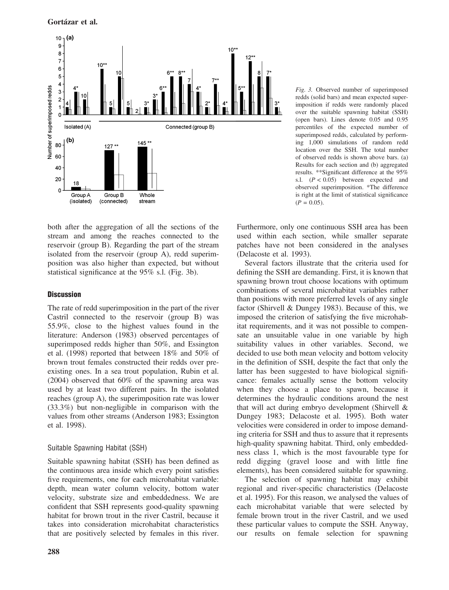

both after the aggregation of all the sections of the stream and among the reaches connected to the reservoir (group B). Regarding the part of the stream isolated from the reservoir (group A), redd superimposition was also higher than expected, but without statistical significance at the 95% s.l. (Fig. 3b).

## **Discussion**

The rate of redd superimposition in the part of the river Castril connected to the reservoir (group B) was 55.9%, close to the highest values found in the literature: Anderson (1983) observed percentages of superimposed redds higher than 50%, and Essington et al. (1998) reported that between 18% and 50% of brown trout females constructed their redds over preexisting ones. In a sea trout population, Rubin et al. (2004) observed that 60% of the spawning area was used by at least two different pairs. In the isolated reaches (group A), the superimposition rate was lower (33.3%) but non-negligible in comparison with the values from other streams (Anderson 1983; Essington et al. 1998).

# Suitable Spawning Habitat (SSH)

Suitable spawning habitat (SSH) has been defined as the continuous area inside which every point satisfies five requirements, one for each microhabitat variable: depth, mean water column velocity, bottom water velocity, substrate size and embeddedness. We are confident that SSH represents good-quality spawning habitat for brown trout in the river Castril, because it takes into consideration microhabitat characteristics that are positively selected by females in this river.

Fig. 3. Observed number of superimposed redds (solid bars) and mean expected superimposition if redds were randomly placed over the suitable spawning habitat (SSH) (open bars). Lines denote 0.05 and 0.95 percentiles of the expected number of superimposed redds, calculated by performing 1,000 simulations of random redd location over the SSH. The total number of observed redds is shown above bars. (a) Results for each section and (b) aggregated results. \*\*Significant difference at the 95% s.l.  $(P < 0.05)$  between expected and observed superimposition. \*The difference is right at the limit of statistical significance  $(P = 0.05)$ .

Furthermore, only one continuous SSH area has been used within each section, while smaller separate patches have not been considered in the analyses (Delacoste et al. 1993).

Several factors illustrate that the criteria used for defining the SSH are demanding. First, it is known that spawning brown trout choose locations with optimum combinations of several microhabitat variables rather than positions with more preferred levels of any single factor (Shirvell & Dungey 1983). Because of this, we imposed the criterion of satisfying the five microhabitat requirements, and it was not possible to compensate an unsuitable value in one variable by high suitability values in other variables. Second, we decided to use both mean velocity and bottom velocity in the definition of SSH, despite the fact that only the latter has been suggested to have biological significance: females actually sense the bottom velocity when they choose a place to spawn, because it determines the hydraulic conditions around the nest that will act during embryo development (Shirvell & Dungey 1983; Delacoste et al. 1995). Both water velocities were considered in order to impose demanding criteria for SSH and thus to assure that it represents high-quality spawning habitat. Third, only embeddedness class 1, which is the most favourable type for redd digging (gravel loose and with little fine elements), has been considered suitable for spawning.

The selection of spawning habitat may exhibit regional and river-specific characteristics (Delacoste et al. 1995). For this reason, we analysed the values of each microhabitat variable that were selected by female brown trout in the river Castril, and we used these particular values to compute the SSH. Anyway, our results on female selection for spawning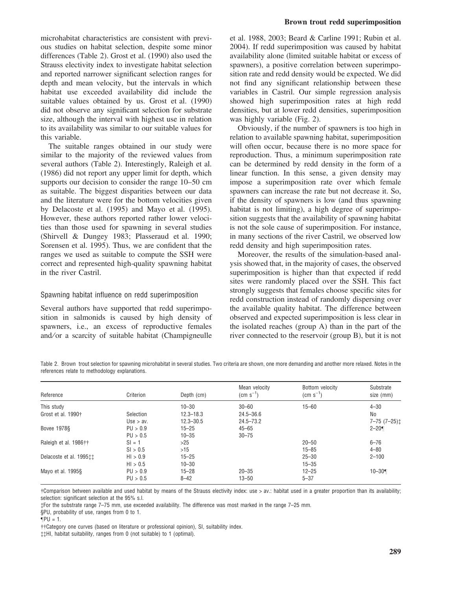microhabitat characteristics are consistent with previous studies on habitat selection, despite some minor differences (Table 2). Grost et al. (1990) also used the Strauss electivity index to investigate habitat selection and reported narrower significant selection ranges for depth and mean velocity, but the intervals in which habitat use exceeded availability did include the suitable values obtained by us. Grost et al. (1990) did not observe any significant selection for substrate size, although the interval with highest use in relation to its availability was similar to our suitable values for this variable.

The suitable ranges obtained in our study were similar to the majority of the reviewed values from several authors (Table 2). Interestingly, Raleigh et al. (1986) did not report any upper limit for depth, which supports our decision to consider the range 10–50 cm as suitable. The biggest disparities between our data and the literature were for the bottom velocities given by Delacoste et al. (1995) and Mayo et al. (1995). However, these authors reported rather lower velocities than those used for spawning in several studies (Shirvell & Dungey 1983; Plasseraud et al. 1990; Sorensen et al. 1995). Thus, we are confident that the ranges we used as suitable to compute the SSH were correct and represented high-quality spawning habitat in the river Castril.

#### Spawning habitat influence on redd superimposition

Several authors have supported that redd superimposition in salmonids is caused by high density of spawners, i.e., an excess of reproductive females and/or a scarcity of suitable habitat (Champigneulle et al. 1988, 2003; Beard & Carline 1991; Rubin et al. 2004). If redd superimposition was caused by habitat availability alone (limited suitable habitat or excess of spawners), a positive correlation between superimposition rate and redd density would be expected. We did not find any significant relationship between these variables in Castril. Our simple regression analysis showed high superimposition rates at high redd densities, but at lower redd densities, superimposition was highly variable (Fig. 2).

Obviously, if the number of spawners is too high in relation to available spawning habitat, superimposition will often occur, because there is no more space for reproduction. Thus, a minimum superimposition rate can be determined by redd density in the form of a linear function. In this sense, a given density may impose a superimposition rate over which female spawners can increase the rate but not decrease it. So, if the density of spawners is low (and thus spawning habitat is not limiting), a high degree of superimposition suggests that the availability of spawning habitat is not the sole cause of superimposition. For instance, in many sections of the river Castril, we observed low redd density and high superimposition rates.

Moreover, the results of the simulation-based analysis showed that, in the majority of cases, the observed superimposition is higher than that expected if redd sites were randomly placed over the SSH. This fact strongly suggests that females choose specific sites for redd construction instead of randomly dispersing over the available quality habitat. The difference between observed and expected superimposition is less clear in the isolated reaches (group A) than in the part of the river connected to the reservoir (group B), but it is not

Table 2. Brown trout selection for spawning microhabitat in several studies. Two criteria are shown, one more demanding and another more relaxed. Notes in the references relate to methodology explanations.

| Reference                          | Criterion   | Depth (cm)    | Mean velocity<br>$\rm (cm \; s^{-1})$ | Bottom velocity<br>$\rm (cm \; s^{-1})$ | Substrate<br>size (mm) |
|------------------------------------|-------------|---------------|---------------------------------------|-----------------------------------------|------------------------|
| This study                         |             | $10 - 30$     | $30 - 60$                             | $15 - 60$                               | $4 - 30$               |
| Grost et al. 1990†                 | Selection   | $12.3 - 18.3$ | $24.5 - 36.6$                         |                                         | No                     |
|                                    | Use $>$ av. | $12.3 - 30.5$ | $24.5 - 73.2$                         |                                         | $7 - 75$ $(7 - 25)$ :  |
| <b>Bovee 1978§</b>                 | PU > 0.9    | $15 - 25$     | $45 - 65$                             |                                         | $2 - 20$               |
|                                    | PU > 0.5    | $10 - 35$     | $30 - 75$                             |                                         |                        |
| Raleigh et al. 1986††              | $SI = 1$    | >25           |                                       | $20 - 50$                               | $6 - 76$               |
|                                    | SI > 0.5    | >15           |                                       | $15 - 85$                               | $4 - 80$               |
| Delacoste et al. 1995 <sup>t</sup> | HI > 0.9    | $15 - 25$     |                                       | $25 - 30$                               | $2 - 100$              |
|                                    | HI > 0.5    | $10 - 30$     |                                       | $15 - 35$                               |                        |
| Mayo et al. 1995§                  | PU > 0.9    | $15 - 28$     | $20 - 35$                             | $12 - 25$                               | $10 - 30$              |
|                                    | PU > 0.5    | $8 - 42$      | $13 - 50$                             | $5 - 37$                                |                        |

-Comparison between available and used habitat by means of the Strauss electivity index: use > av.: habitat used in a greater proportion than its availability; selection: significant selection at the 95% s.l.

For the substrate range 7–75 mm, use exceeded availability. The difference was most marked in the range 7–25 mm.

§PU, probability of use, ranges from 0 to 1.

--Category one curves (based on literature or professional opinion), SI, suitability index.

HI, habitat suitability, ranges from 0 (not suitable) to 1 (optimal).

 $\P$ PU = 1.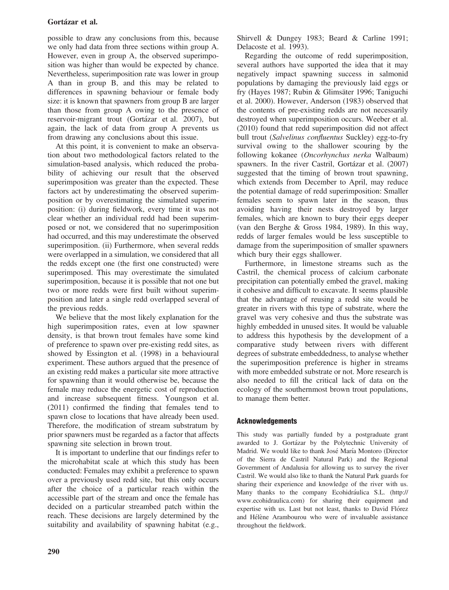possible to draw any conclusions from this, because we only had data from three sections within group A. However, even in group A, the observed superimposition was higher than would be expected by chance. Nevertheless, superimposition rate was lower in group A than in group B, and this may be related to differences in spawning behaviour or female body size: it is known that spawners from group B are larger than those from group A owing to the presence of reservoir-migrant trout (Gortázar et al. 2007), but again, the lack of data from group A prevents us from drawing any conclusions about this issue.

At this point, it is convenient to make an observation about two methodological factors related to the simulation-based analysis, which reduced the probability of achieving our result that the observed superimposition was greater than the expected. These factors act by underestimating the observed superimposition or by overestimating the simulated superimposition: (i) during fieldwork, every time it was not clear whether an individual redd had been superimposed or not, we considered that no superimposition had occurred, and this may underestimate the observed superimposition. (ii) Furthermore, when several redds were overlapped in a simulation, we considered that all the redds except one (the first one constructed) were superimposed. This may overestimate the simulated superimposition, because it is possible that not one but two or more redds were first built without superimposition and later a single redd overlapped several of the previous redds.

We believe that the most likely explanation for the high superimposition rates, even at low spawner density, is that brown trout females have some kind of preference to spawn over pre-existing redd sites, as showed by Essington et al. (1998) in a behavioural experiment. These authors argued that the presence of an existing redd makes a particular site more attractive for spawning than it would otherwise be, because the female may reduce the energetic cost of reproduction and increase subsequent fitness. Youngson et al. (2011) confirmed the finding that females tend to spawn close to locations that have already been used. Therefore, the modification of stream substratum by prior spawners must be regarded as a factor that affects spawning site selection in brown trout.

It is important to underline that our findings refer to the microhabitat scale at which this study has been conducted: Females may exhibit a preference to spawn over a previously used redd site, but this only occurs after the choice of a particular reach within the accessible part of the stream and once the female has decided on a particular streambed patch within the reach. These decisions are largely determined by the suitability and availability of spawning habitat (e.g., Shirvell & Dungey 1983; Beard & Carline 1991; Delacoste et al. 1993).

Regarding the outcome of redd superimposition, several authors have supported the idea that it may negatively impact spawning success in salmonid populations by damaging the previously laid eggs or fry (Hayes 1987; Rubin & Glimsäter 1996; Taniguchi et al. 2000). However, Anderson (1983) observed that the contents of pre-existing redds are not necessarily destroyed when superimposition occurs. Weeber et al. (2010) found that redd superimposition did not affect bull trout (Salvelinus confluentus Suckley) egg-to-fry survival owing to the shallower scouring by the following kokanee (Oncorhynchus nerka Walbaum) spawners. In the river Castril, Gortázar et al. (2007) suggested that the timing of brown trout spawning, which extends from December to April, may reduce the potential damage of redd superimposition: Smaller females seem to spawn later in the season, thus avoiding having their nests destroyed by larger females, which are known to bury their eggs deeper (van den Berghe & Gross 1984, 1989). In this way, redds of larger females would be less susceptible to damage from the superimposition of smaller spawners which bury their eggs shallower.

Furthermore, in limestone streams such as the Castril, the chemical process of calcium carbonate precipitation can potentially embed the gravel, making it cohesive and difficult to excavate. It seems plausible that the advantage of reusing a redd site would be greater in rivers with this type of substrate, where the gravel was very cohesive and thus the substrate was highly embedded in unused sites. It would be valuable to address this hypothesis by the development of a comparative study between rivers with different degrees of substrate embeddedness, to analyse whether the superimposition preference is higher in streams with more embedded substrate or not. More research is also needed to fill the critical lack of data on the ecology of the southernmost brown trout populations, to manage them better.

# Acknowledgements

This study was partially funded by a postgraduate grant awarded to J. Gortázar by the Polytechnic University of Madrid. We would like to thank José María Montoro (Director of the Sierra de Castril Natural Park) and the Regional Government of Andalusia for allowing us to survey the river Castril. We would also like to thank the Natural Park guards for sharing their experience and knowledge of the river with us. Many thanks to the company Ecohidráulica S.L. (http:// www.ecohidraulica.com) for sharing their equipment and expertise with us. Last but not least, thanks to David Flórez and Hélène Arambourou who were of invaluable assistance throughout the fieldwork.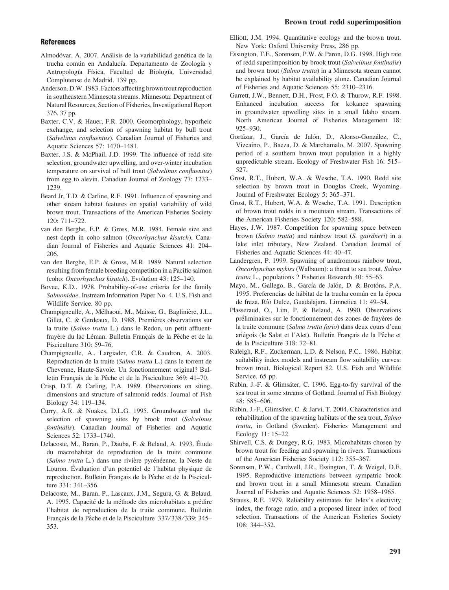#### Brown trout redd superimposition

#### **References**

- Almodóvar, A. 2007. Análisis de la variabilidad genética de la trucha común en Andalucía. Departamento de Zoología y Antropología Física, Facultad de Biología, Universidad Complutense de Madrid. 139 pp.
- Anderson, D.W. 1983. Factors affecting brown trout reproduction in southeastern Minnesota streams. Minnesota: Department of Natural Resources, Section of Fisheries, Investigational Report 376. 37 pp.
- Baxter, C.V. & Hauer, F.R. 2000. Geomorphology, hyporheic exchange, and selection of spawning habitat by bull trout (Salvelinus confluentus). Canadian Journal of Fisheries and Aquatic Sciences 57: 1470–1481.
- Baxter, J.S. & McPhail, J.D. 1999. The influence of redd site selection, groundwater upwelling, and over-winter incubation temperature on survival of bull trout (Salvelinus confluentus) from egg to alevin. Canadian Journal of Zoology 77: 1233– 1239.
- Beard Jr, T.D. & Carline, R.F. 1991. Influence of spawning and other stream habitat features on spatial variability of wild brown trout. Transactions of the American Fisheries Society 120: 711–722.
- van den Berghe, E.P. & Gross, M.R. 1984. Female size and nest depth in coho salmon (Oncorhynchus kisutch). Canadian Journal of Fisheries and Aquatic Sciences 41: 204– 206.
- van den Berghe, E.P. & Gross, M.R. 1989. Natural selection resulting from female breeding competition in a Pacific salmon (coho: Oncorhynchus kisutch). Evolution 43: 125–140.
- Bovee, K.D.. 1978. Probability-of-use criteria for the family Salmonidae. Instream Information Paper No. 4. U.S. Fish and Wildlife Service. 80 pp.
- Champigneulle, A., Mélhaoui, M., Maisse, G., Baglinière, J.L., Gillet, C. & Gerdeaux, D. 1988. Premières observations sur la truite (Salmo trutta L.) dans le Redon, un petit affluentfrayère du lac Léman. Bulletin Français de la Pêche et de la Pisciculture 310: 59–76.
- Champigneulle, A., Largiader, C.R. & Caudron, A. 2003. Reproduction de la truite (Salmo trutta L.) dans le torrent de Chevenne, Haute-Savoie. Un fonctionnement original? Bulletin Français de la Pêche et de la Pisciculture 369: 41-70.
- Crisp, D.T. & Carling, P.A. 1989. Observations on siting, dimensions and structure of salmonid redds. Journal of Fish Biology 34: 119–134.
- Curry, A.R. & Noakes, D.L.G. 1995. Groundwater and the selection of spawning sites by brook trout (Salvelinus fontinalis). Canadian Journal of Fisheries and Aquatic Sciences 52: 1733–1740.
- Delacoste, M., Baran, P., Dauba, F. & Belaud, A. 1993. Étude du macrohabitat de reproduction de la truite commune (Salmo trutta L.) dans une rivière pyrénéenne, la Neste du Louron. Évaluation d'un potentiel de l'habitat physique de reproduction. Bulletin Français de la Pêche et de la Pisciculture 331: 341–356.
- Delacoste, M., Baran, P., Lascaux, J.M., Segura, G. & Belaud, A. 1995. Capacité de la méthode des microhabitats a prédire l'habitat de reproduction de la truite commune. Bulletin Français de la Pêche et de la Pisciculture 337/338/339: 345– 353.
- Elliott, J.M. 1994. Quantitative ecology and the brown trout. New York: Oxford University Press, 286 pp.
- Essington, T.E., Sorensen, P.W. & Paron, D.G. 1998. High rate of redd superimposition by brook trout (Salvelinus fontinalis) and brown trout (Salmo trutta) in a Minnesota stream cannot be explained by habitat availability alone. Canadian Journal of Fisheries and Aquatic Sciences 55: 2310–2316.
- Garrett, J.W., Bennett, D.H., Frost, F.O. & Thurow, R.F. 1998. Enhanced incubation success for kokanee spawning in groundwater upwelling sites in a small Idaho stream. North American Journal of Fisheries Management 18: 925–930.
- Gortázar, J., García de Jalón, D., Alonso-González, C., Vizcaíno, P., Baeza, D. & Marchamalo, M. 2007. Spawning period of a southern brown trout population in a highly unpredictable stream. Ecology of Freshwater Fish 16: 515– 527.
- Grost, R.T., Hubert, W.A. & Wesche, T.A. 1990. Redd site selection by brown trout in Douglas Creek, Wyoming. Journal of Freshwater Ecology 5: 365–371.
- Grost, R.T., Hubert, W.A. & Wesche, T.A. 1991. Description of brown trout redds in a mountain stream. Transactions of the American Fisheries Society 120: 582–588.
- Hayes, J.W. 1987. Competition for spawning space between brown (Salmo trutta) and rainbow trout (S. gairdneri) in a lake inlet tributary, New Zealand. Canadian Journal of Fisheries and Aquatic Sciences 44: 40–47.
- Landergren, P. 1999. Spawning of anadromous rainbow trout, Oncorhynchus mykiss (Walbaum): a threat to sea trout, Salmo trutta L., populations ? Fisheries Research 40: 55–63.
- Mayo, M., Gallego, B., García de Jalón, D. & Brotóns, P.A. 1995. Preferencias de hábitat de la trucha común en la época de freza. Río Dulce, Guadalajara. Limnetica 11: 49-54.
- Plasseraud, O., Lim, P. & Belaud, A. 1990. Observations préliminaires sur le fonctionnement des zones de frayères de la truite commune (Salmo trutta fario) dans deux cours d'eau ariégois (le Salat et l'Alet). Bulletin Français de la Pêche et de la Pisciculture 318: 72–81.
- Raleigh, R.F., Zuckerman, L.D. & Nelson, P.C.. 1986. Habitat suitability index models and instream flow suitability curves: brown trout. Biological Report 82. U.S. Fish and Wildlife Service. 65 pp.
- Rubin, J.-F. & Glimsäter, C. 1996. Egg-to-fry survival of the sea trout in some streams of Gotland. Journal of Fish Biology 48: 585–606.
- Rubin, J.-F., Glimsäter, C. & Jarvi, T. 2004. Characteristics and rehabilitation of the spawning habitats of the sea trout, Salmo trutta, in Gotland (Sweden). Fisheries Management and Ecology 11: 15–22.
- Shirvell, C.S. & Dungey, R.G. 1983. Microhabitats chosen by brown trout for feeding and spawning in rivers. Transactions of the American Fisheries Society 112: 355–367.
- Sorensen, P.W., Cardwell, J.R., Essington, T. & Weigel, D.E. 1995. Reproductive interactions between sympatric brook and brown trout in a small Minnesota stream. Canadian Journal of Fisheries and Aquatic Sciences 52: 1958–1965.
- Strauss, R.E. 1979. Reliability estimates for Ivlev's electivity index, the forage ratio, and a proposed linear index of food selection. Transactions of the American Fisheries Society 108: 344–352.